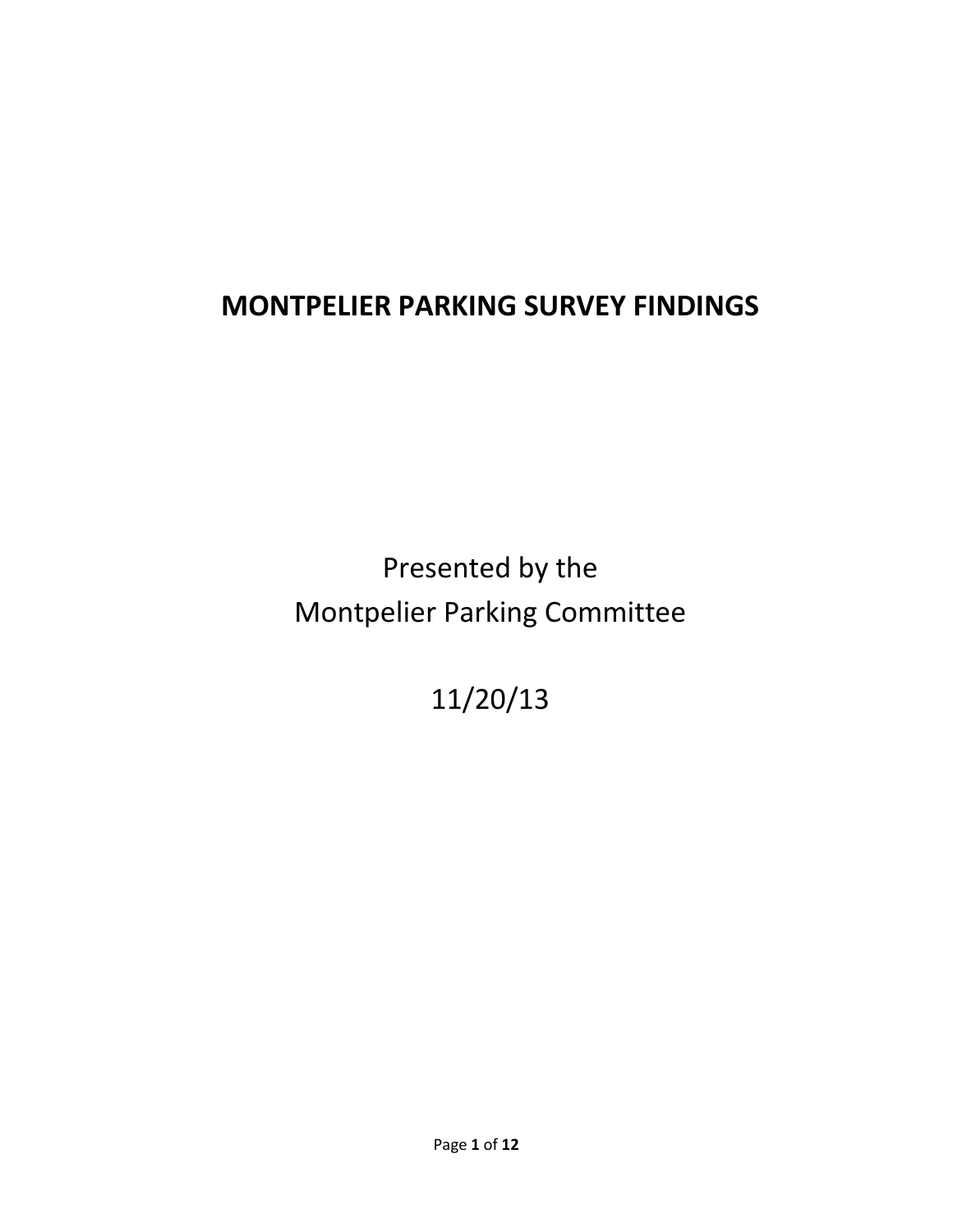# **MONTPELIER PARKING SURVEY FINDINGS**

Presented by the Montpelier Parking Committee

11/20/13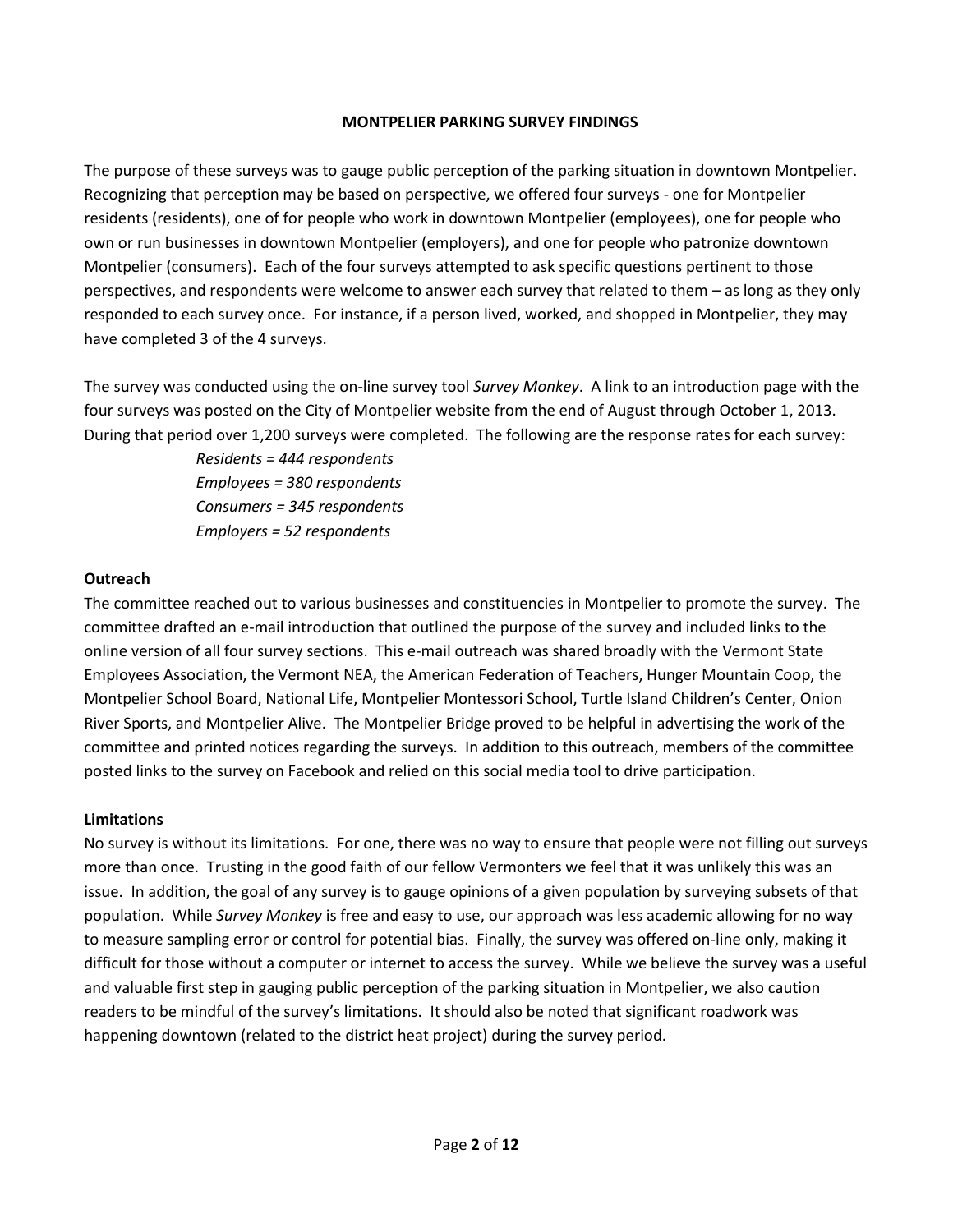#### **MONTPELIER PARKING SURVEY FINDINGS**

The purpose of these surveys was to gauge public perception of the parking situation in downtown Montpelier. Recognizing that perception may be based on perspective, we offered four surveys - one for Montpelier residents (residents), one of for people who work in downtown Montpelier (employees), one for people who own or run businesses in downtown Montpelier (employers), and one for people who patronize downtown Montpelier (consumers). Each of the four surveys attempted to ask specific questions pertinent to those perspectives, and respondents were welcome to answer each survey that related to them – as long as they only responded to each survey once. For instance, if a person lived, worked, and shopped in Montpelier, they may have completed 3 of the 4 surveys.

The survey was conducted using the on-line survey tool *Survey Monkey*. A link to an introduction page with the four surveys was posted on the City of Montpelier website from the end of August through October 1, 2013. During that period over 1,200 surveys were completed. The following are the response rates for each survey:

> *Residents = 444 respondents Employees = 380 respondents Consumers = 345 respondents Employers = 52 respondents*

#### **Outreach**

The committee reached out to various businesses and constituencies in Montpelier to promote the survey. The committee drafted an e-mail introduction that outlined the purpose of the survey and included links to the online version of all four survey sections. This e-mail outreach was shared broadly with the Vermont State Employees Association, the Vermont NEA, the American Federation of Teachers, Hunger Mountain Coop, the Montpelier School Board, National Life, Montpelier Montessori School, Turtle Island Children's Center, Onion River Sports, and Montpelier Alive. The Montpelier Bridge proved to be helpful in advertising the work of the committee and printed notices regarding the surveys. In addition to this outreach, members of the committee posted links to the survey on Facebook and relied on this social media tool to drive participation.

#### **Limitations**

No survey is without its limitations. For one, there was no way to ensure that people were not filling out surveys more than once. Trusting in the good faith of our fellow Vermonters we feel that it was unlikely this was an issue. In addition, the goal of any survey is to gauge opinions of a given population by surveying subsets of that population. While *Survey Monkey* is free and easy to use, our approach was less academic allowing for no way to measure sampling error or control for potential bias. Finally, the survey was offered on-line only, making it difficult for those without a computer or internet to access the survey. While we believe the survey was a useful and valuable first step in gauging public perception of the parking situation in Montpelier, we also caution readers to be mindful of the survey's limitations. It should also be noted that significant roadwork was happening downtown (related to the district heat project) during the survey period.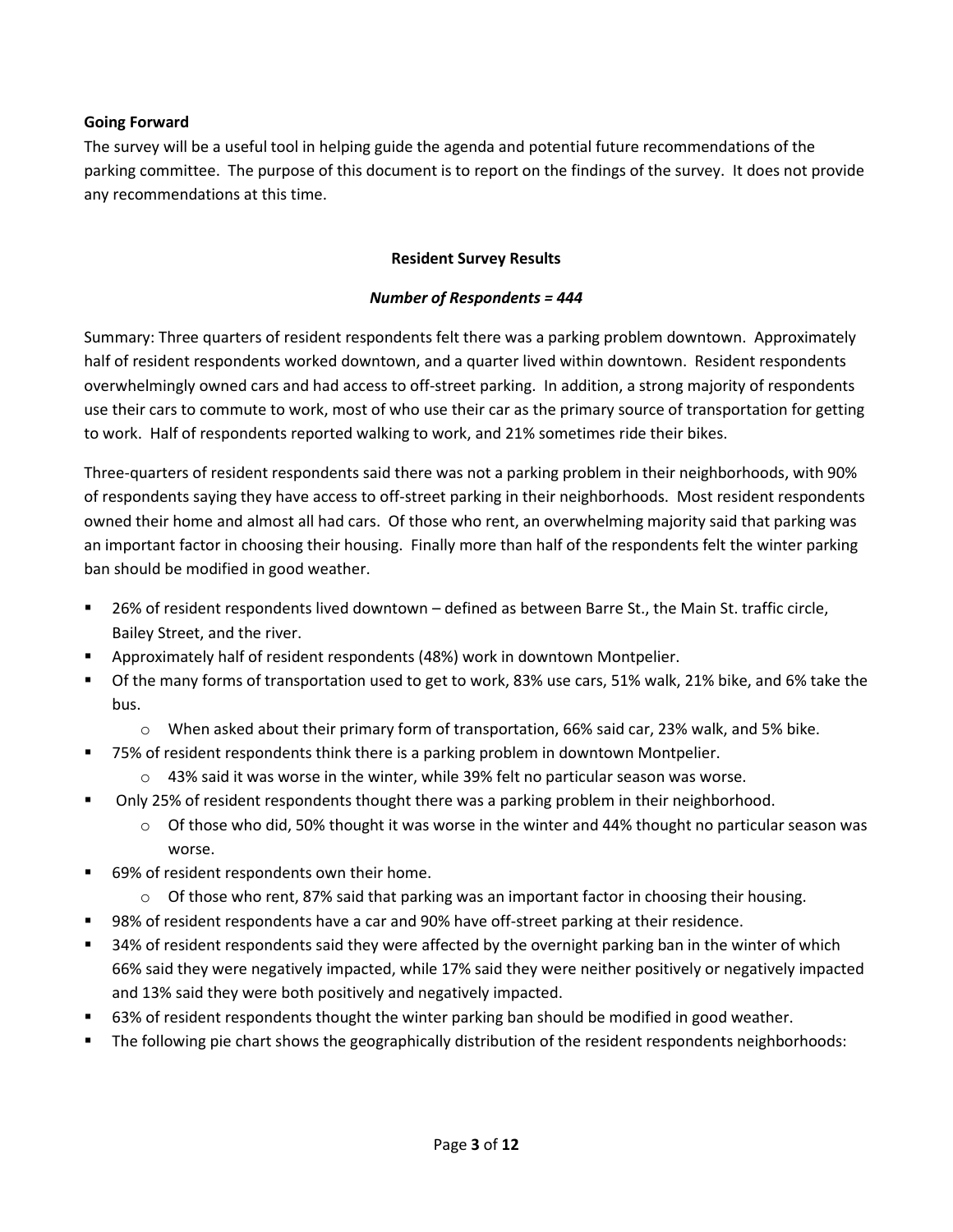#### **Going Forward**

The survey will be a useful tool in helping guide the agenda and potential future recommendations of the parking committee. The purpose of this document is to report on the findings of the survey. It does not provide any recommendations at this time.

#### **Resident Survey Results**

#### *Number of Respondents = 444*

Summary: Three quarters of resident respondents felt there was a parking problem downtown. Approximately half of resident respondents worked downtown, and a quarter lived within downtown. Resident respondents overwhelmingly owned cars and had access to off-street parking. In addition, a strong majority of respondents use their cars to commute to work, most of who use their car as the primary source of transportation for getting to work. Half of respondents reported walking to work, and 21% sometimes ride their bikes.

Three-quarters of resident respondents said there was not a parking problem in their neighborhoods, with 90% of respondents saying they have access to off-street parking in their neighborhoods. Most resident respondents owned their home and almost all had cars. Of those who rent, an overwhelming majority said that parking was an important factor in choosing their housing. Finally more than half of the respondents felt the winter parking ban should be modified in good weather.

- 26% of resident respondents lived downtown defined as between Barre St., the Main St. traffic circle, Bailey Street, and the river.
- Approximately half of resident respondents (48%) work in downtown Montpelier.
- Of the many forms of transportation used to get to work, 83% use cars, 51% walk, 21% bike, and 6% take the bus.
	- $\circ$  When asked about their primary form of transportation, 66% said car, 23% walk, and 5% bike.
- 75% of resident respondents think there is a parking problem in downtown Montpelier.
	- $\circ$  43% said it was worse in the winter, while 39% felt no particular season was worse.
- Only 25% of resident respondents thought there was a parking problem in their neighborhood.
	- $\circ$  Of those who did, 50% thought it was worse in the winter and 44% thought no particular season was worse.
- 69% of resident respondents own their home.
	- $\circ$  Of those who rent, 87% said that parking was an important factor in choosing their housing.
- 98% of resident respondents have a car and 90% have off-street parking at their residence.
- 34% of resident respondents said they were affected by the overnight parking ban in the winter of which 66% said they were negatively impacted, while 17% said they were neither positively or negatively impacted and 13% said they were both positively and negatively impacted.
- 63% of resident respondents thought the winter parking ban should be modified in good weather.
- The following pie chart shows the geographically distribution of the resident respondents neighborhoods: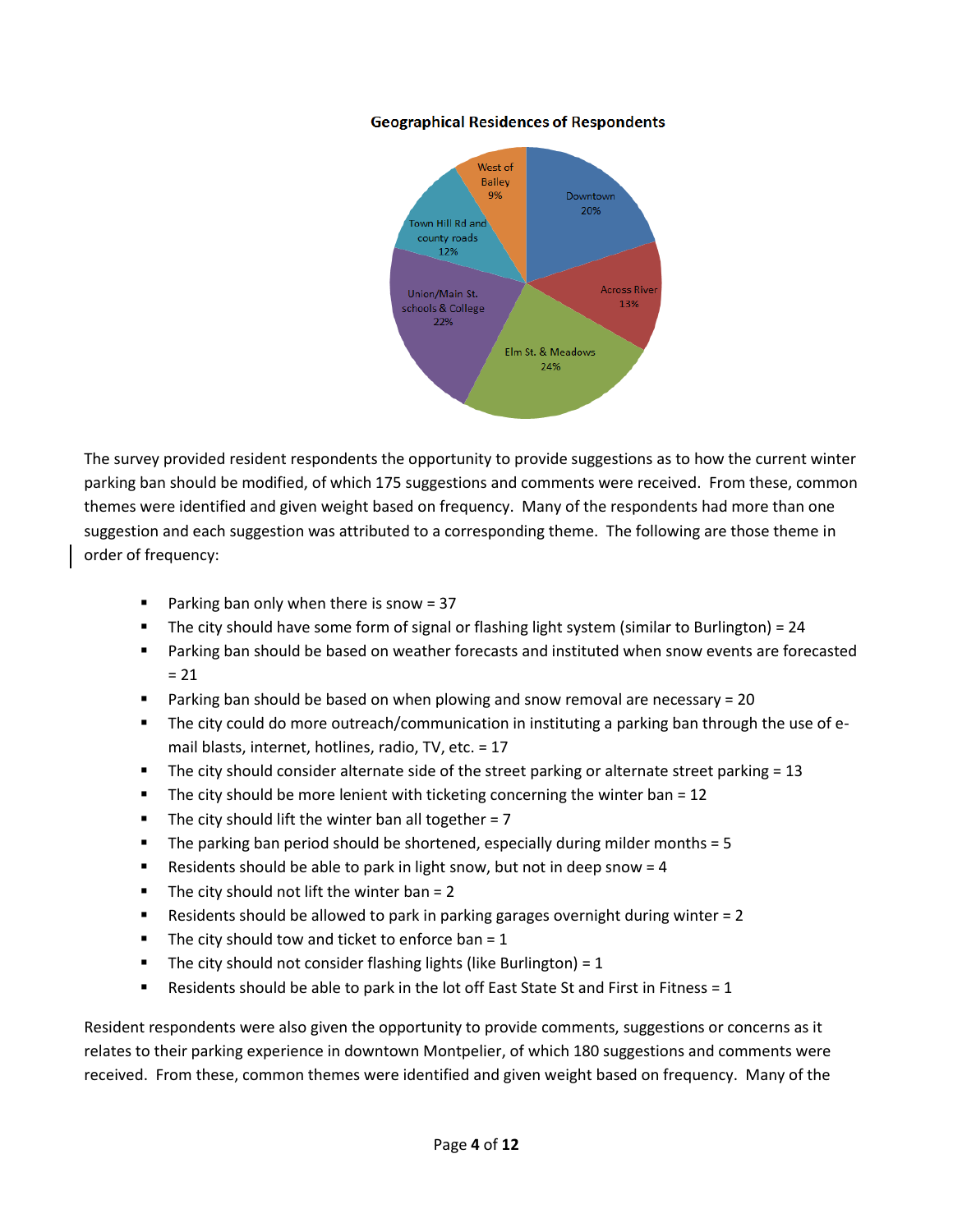#### **Geographical Residences of Respondents**



The survey provided resident respondents the opportunity to provide suggestions as to how the current winter parking ban should be modified, of which 175 suggestions and comments were received. From these, common themes were identified and given weight based on frequency. Many of the respondents had more than one suggestion and each suggestion was attributed to a corresponding theme. The following are those theme in order of frequency:

- **Parking ban only when there is snow = 37**
- The city should have some form of signal or flashing light system (similar to Burlington) = 24
- Parking ban should be based on weather forecasts and instituted when snow events are forecasted  $= 21$
- Parking ban should be based on when plowing and snow removal are necessary = 20
- **The city could do more outreach/communication in instituting a parking ban through the use of e**mail blasts, internet, hotlines, radio, TV, etc. = 17
- The city should consider alternate side of the street parking or alternate street parking  $= 13$
- The city should be more lenient with ticketing concerning the winter ban =  $12$
- The city should lift the winter ban all together =  $7$
- The parking ban period should be shortened, especially during milder months = 5
- Residents should be able to park in light snow, but not in deep snow  $= 4$
- The city should not lift the winter ban =  $2$
- Residents should be allowed to park in parking garages overnight during winter = 2
- The city should tow and ticket to enforce ban =  $1$
- The city should not consider flashing lights (like Burlington) =  $1$
- **Residents should be able to park in the lot off East State St and First in Fitness = 1**

Resident respondents were also given the opportunity to provide comments, suggestions or concerns as it relates to their parking experience in downtown Montpelier, of which 180 suggestions and comments were received. From these, common themes were identified and given weight based on frequency. Many of the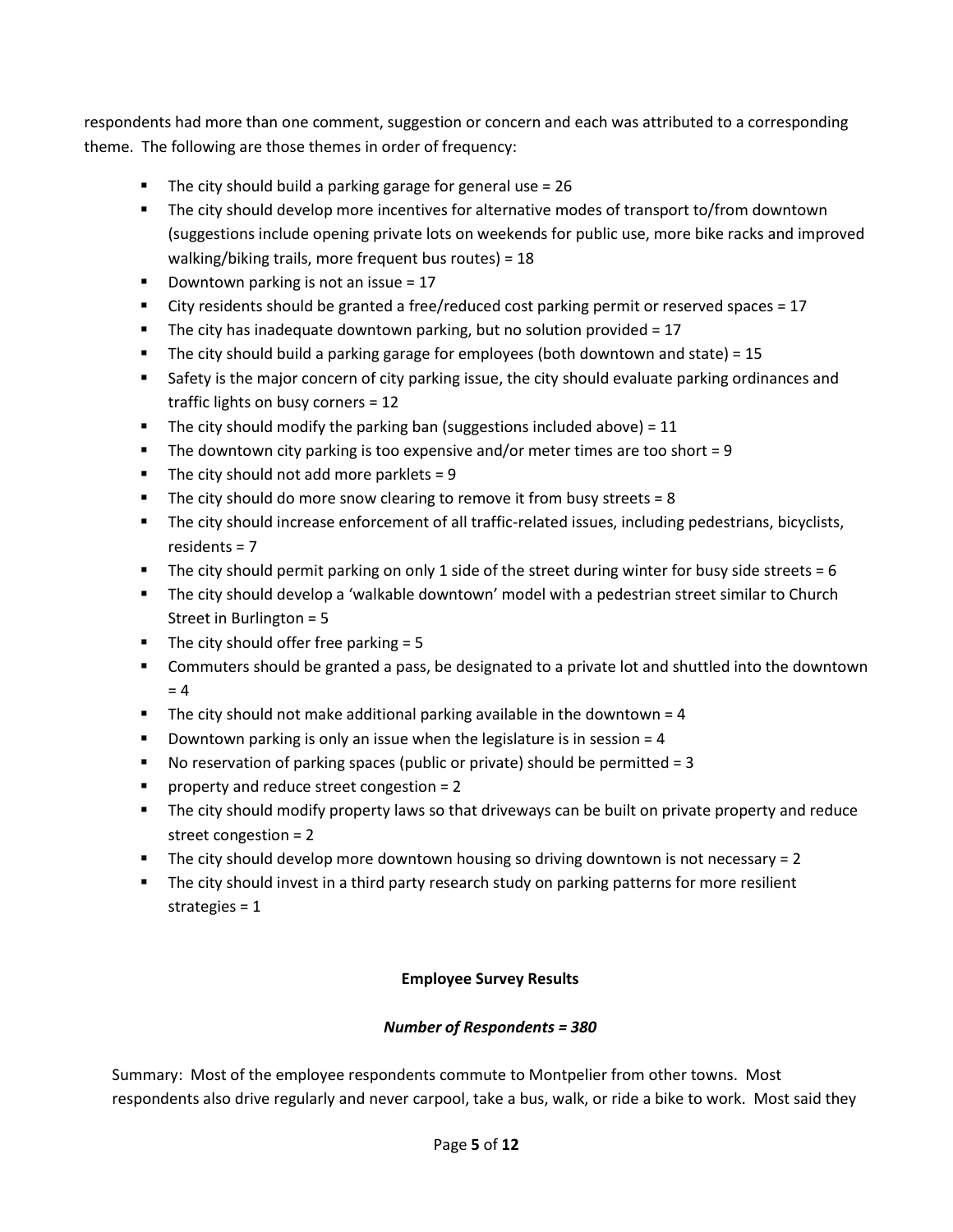respondents had more than one comment, suggestion or concern and each was attributed to a corresponding theme. The following are those themes in order of frequency:

- The city should build a parking garage for general use  $= 26$
- The city should develop more incentives for alternative modes of transport to/from downtown (suggestions include opening private lots on weekends for public use, more bike racks and improved walking/biking trails, more frequent bus routes) = 18
- Downtown parking is not an issue =  $17$
- City residents should be granted a free/reduced cost parking permit or reserved spaces = 17
- The city has inadequate downtown parking, but no solution provided  $= 17$
- The city should build a parking garage for employees (both downtown and state) =  $15$
- **Safety is the major concern of city parking issue, the city should evaluate parking ordinances and** traffic lights on busy corners = 12
- The city should modify the parking ban (suggestions included above) =  $11$
- The downtown city parking is too expensive and/or meter times are too short = 9
- The city should not add more parklets =  $9$
- The city should do more snow clearing to remove it from busy streets =  $8$
- The city should increase enforcement of all traffic-related issues, including pedestrians, bicyclists, residents = 7
- The city should permit parking on only 1 side of the street during winter for busy side streets  $= 6$
- The city should develop a 'walkable downtown' model with a pedestrian street similar to Church Street in Burlington = 5
- The city should offer free parking  $= 5$
- Commuters should be granted a pass, be designated to a private lot and shuttled into the downtown  $= 4$
- The city should not make additional parking available in the downtown  $= 4$
- **Downtown parking is only an issue when the legislature is in session = 4**
- No reservation of parking spaces (public or private) should be permitted  $= 3$
- **Peroperty and reduce street congestion = 2**
- The city should modify property laws so that driveways can be built on private property and reduce street congestion = 2
- The city should develop more downtown housing so driving downtown is not necessary  $= 2$
- **The city should invest in a third party research study on parking patterns for more resilient** strategies = 1

## **Employee Survey Results**

## *Number of Respondents = 380*

Summary: Most of the employee respondents commute to Montpelier from other towns. Most respondents also drive regularly and never carpool, take a bus, walk, or ride a bike to work. Most said they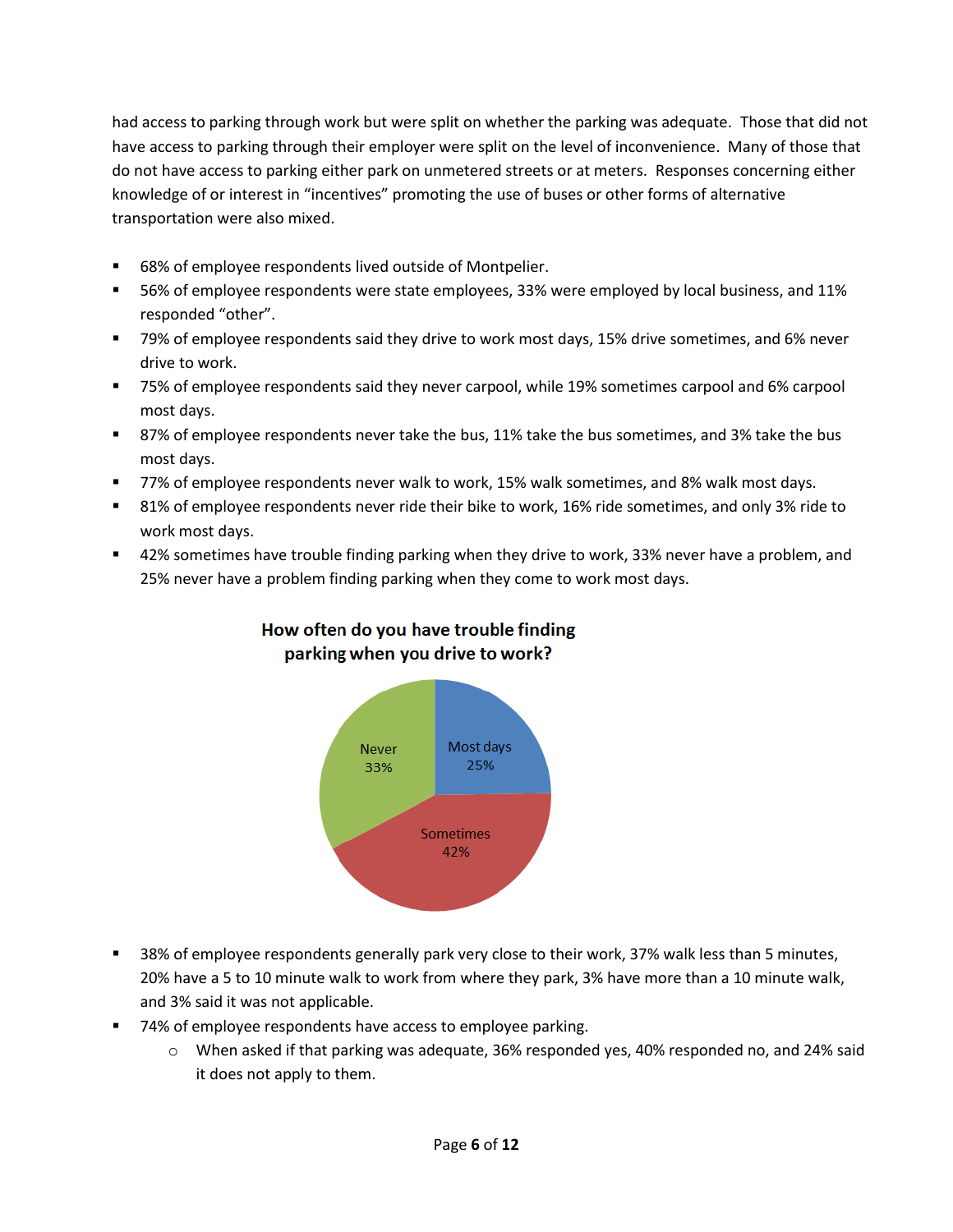had access to parking through work but were split on whether the parking was adequate. Those that did not have access to parking through their employer were split on the level of inconvenience. Many of those that do not have access to parking either park on unmetered streets or at meters. Responses concerning either knowledge of or interest in "incentives" promoting the use of buses or other forms of alternative transportation were also mixed.

- 68% of employee respondents lived outside of Montpelier.
- 56% of employee respondents were state employees, 33% were employed by local business, and 11% responded "other".
- 79% of employee respondents said they drive to work most days, 15% drive sometimes, and 6% never drive to work.
- 75% of employee respondents said they never carpool, while 19% sometimes carpool and 6% carpool most days.
- **87% of employee respondents never take the bus, 11% take the bus sometimes, and 3% take the bus** most days.
- 77% of employee respondents never walk to work, 15% walk sometimes, and 8% walk most days.
- 81% of employee respondents never ride their bike to work, 16% ride sometimes, and only 3% ride to work most days.
- 42% sometimes have trouble finding parking when they drive to work, 33% never have a problem, and 25% never have a problem finding parking when they come to work most days.



## How often do you have trouble finding parking when you drive to work?

- 38% of employee respondents generally park very close to their work, 37% walk less than 5 minutes, 20% have a 5 to 10 minute walk to work from where they park, 3% have more than a 10 minute walk, and 3% said it was not applicable.
- 74% of employee respondents have access to employee parking.
	- o When asked if that parking was adequate, 36% responded yes, 40% responded no, and 24% said it does not apply to them.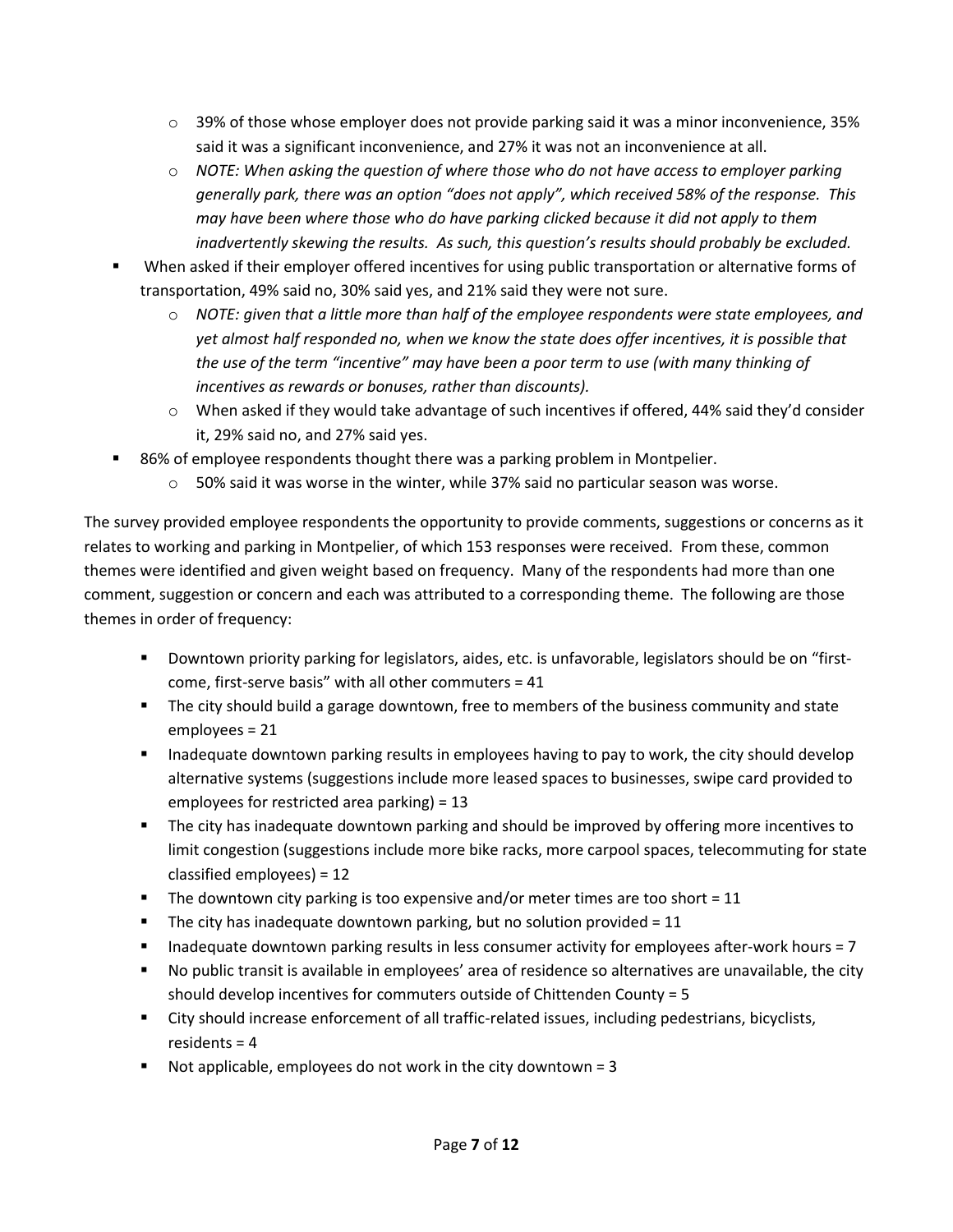- $\circ$  39% of those whose employer does not provide parking said it was a minor inconvenience, 35% said it was a significant inconvenience, and 27% it was not an inconvenience at all.
- o *NOTE: When asking the question of where those who do not have access to employer parking generally park, there was an option "does not apply", which received 58% of the response. This may have been where those who do have parking clicked because it did not apply to them inadvertently skewing the results. As such, this question's results should probably be excluded.*
- When asked if their employer offered incentives for using public transportation or alternative forms of transportation, 49% said no, 30% said yes, and 21% said they were not sure.
	- o *NOTE: given that a little more than half of the employee respondents were state employees, and yet almost half responded no, when we know the state does offer incentives, it is possible that the use of the term "incentive" may have been a poor term to use (with many thinking of incentives as rewards or bonuses, rather than discounts).*
	- o When asked if they would take advantage of such incentives if offered, 44% said they'd consider it, 29% said no, and 27% said yes.
- 86% of employee respondents thought there was a parking problem in Montpelier.
	- $\circ$  50% said it was worse in the winter, while 37% said no particular season was worse.

The survey provided employee respondents the opportunity to provide comments, suggestions or concerns as it relates to working and parking in Montpelier, of which 153 responses were received. From these, common themes were identified and given weight based on frequency. Many of the respondents had more than one comment, suggestion or concern and each was attributed to a corresponding theme. The following are those themes in order of frequency:

- Downtown priority parking for legislators, aides, etc. is unfavorable, legislators should be on "firstcome, first-serve basis" with all other commuters = 41
- **The city should build a garage downtown, free to members of the business community and state** employees = 21
- Inadequate downtown parking results in employees having to pay to work, the city should develop alternative systems (suggestions include more leased spaces to businesses, swipe card provided to employees for restricted area parking) = 13
- **The city has inadequate downtown parking and should be improved by offering more incentives to** limit congestion (suggestions include more bike racks, more carpool spaces, telecommuting for state classified employees) = 12
- The downtown city parking is too expensive and/or meter times are too short  $= 11$
- The city has inadequate downtown parking, but no solution provided =  $11$
- Inadequate downtown parking results in less consumer activity for employees after-work hours = 7
- No public transit is available in employees' area of residence so alternatives are unavailable, the city should develop incentives for commuters outside of Chittenden County = 5
- City should increase enforcement of all traffic-related issues, including pedestrians, bicyclists, residents = 4
- Not applicable, employees do not work in the city downtown =  $3$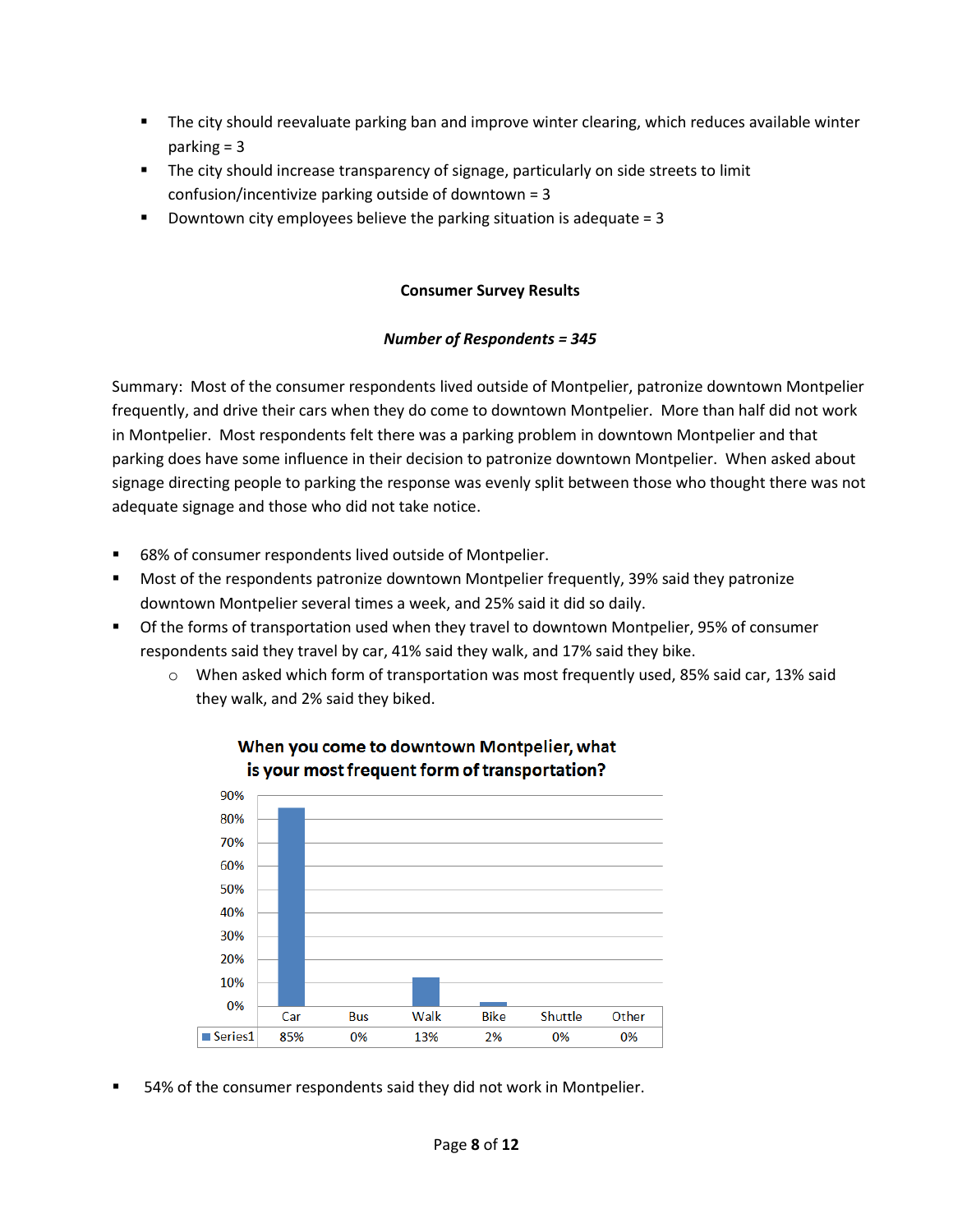- The city should reevaluate parking ban and improve winter clearing, which reduces available winter parking = 3
- **The city should increase transparency of signage, particularly on side streets to limit** confusion/incentivize parking outside of downtown = 3
- Downtown city employees believe the parking situation is adequate  $= 3$

## **Consumer Survey Results**

## *Number of Respondents = 345*

Summary: Most of the consumer respondents lived outside of Montpelier, patronize downtown Montpelier frequently, and drive their cars when they do come to downtown Montpelier. More than half did not work in Montpelier. Most respondents felt there was a parking problem in downtown Montpelier and that parking does have some influence in their decision to patronize downtown Montpelier. When asked about signage directing people to parking the response was evenly split between those who thought there was not adequate signage and those who did not take notice.

- 68% of consumer respondents lived outside of Montpelier.
- Most of the respondents patronize downtown Montpelier frequently, 39% said they patronize downtown Montpelier several times a week, and 25% said it did so daily.
- Of the forms of transportation used when they travel to downtown Montpelier, 95% of consumer respondents said they travel by car, 41% said they walk, and 17% said they bike.
	- o When asked which form of transportation was most frequently used, 85% said car, 13% said they walk, and 2% said they biked.



## When you come to downtown Montpelier, what is your most frequent form of transportation?

54% of the consumer respondents said they did not work in Montpelier.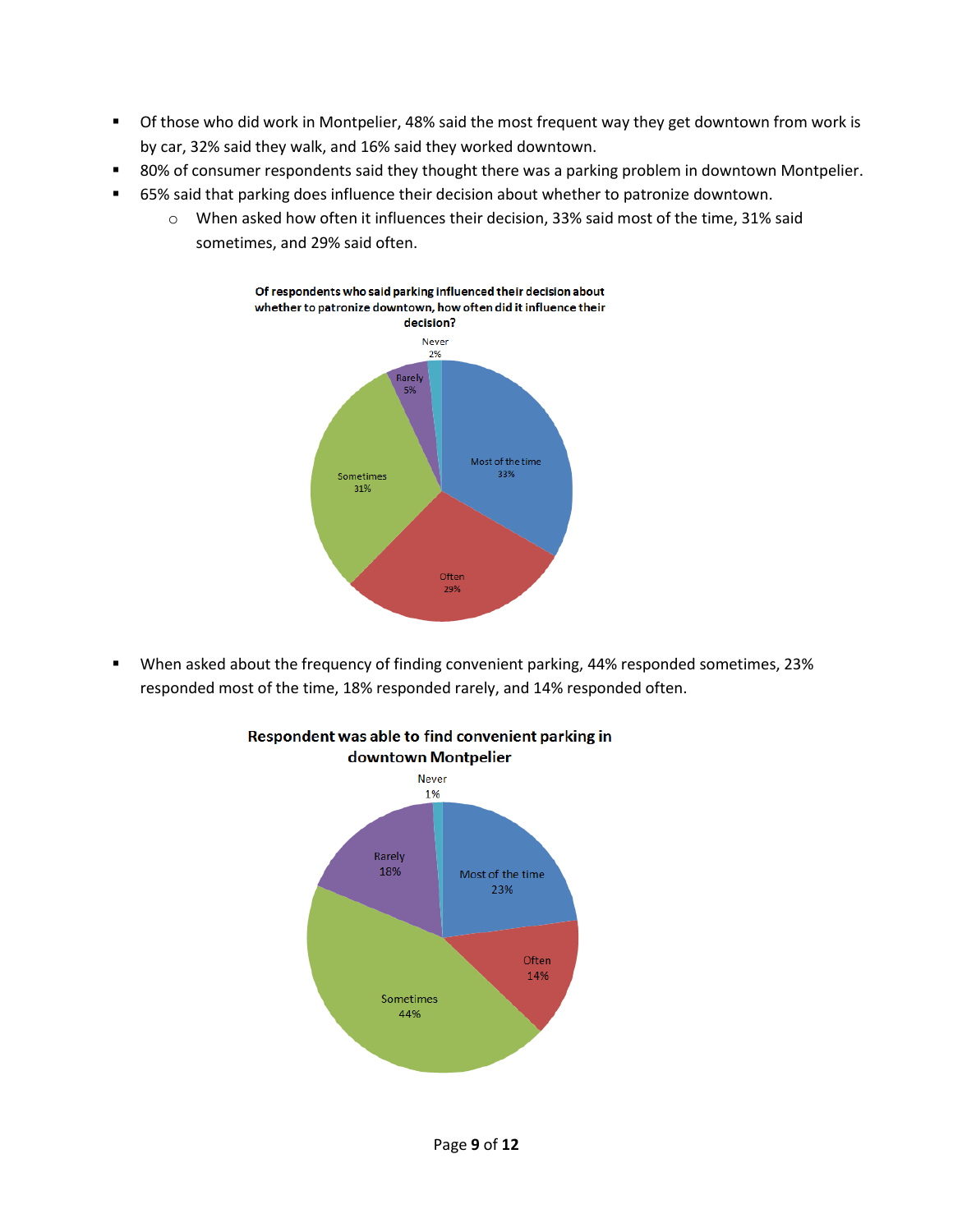- Of those who did work in Montpelier, 48% said the most frequent way they get downtown from work is by car, 32% said they walk, and 16% said they worked downtown.
- 80% of consumer respondents said they thought there was a parking problem in downtown Montpelier.
- 65% said that parking does influence their decision about whether to patronize downtown.
	- o When asked how often it influences their decision, 33% said most of the time, 31% said sometimes, and 29% said often.



 When asked about the frequency of finding convenient parking, 44% responded sometimes, 23% responded most of the time, 18% responded rarely, and 14% responded often.



## Respondent was able to find convenient parking in downtown Montpelier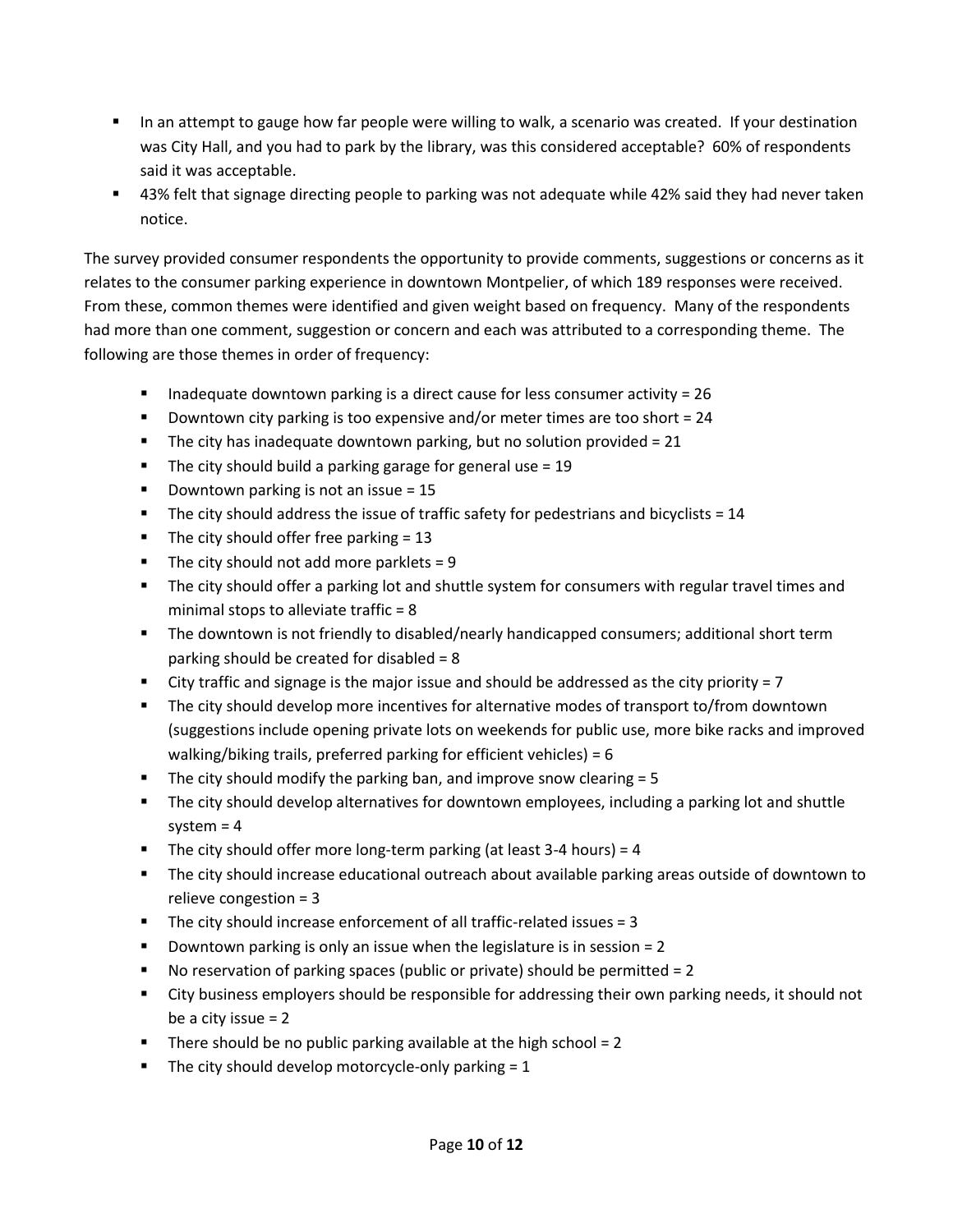- In an attempt to gauge how far people were willing to walk, a scenario was created. If your destination was City Hall, and you had to park by the library, was this considered acceptable? 60% of respondents said it was acceptable.
- 43% felt that signage directing people to parking was not adequate while 42% said they had never taken notice.

The survey provided consumer respondents the opportunity to provide comments, suggestions or concerns as it relates to the consumer parking experience in downtown Montpelier, of which 189 responses were received. From these, common themes were identified and given weight based on frequency. Many of the respondents had more than one comment, suggestion or concern and each was attributed to a corresponding theme. The following are those themes in order of frequency:

- Inadequate downtown parking is a direct cause for less consumer activity =  $26$
- Downtown city parking is too expensive and/or meter times are too short = 24
- The city has inadequate downtown parking, but no solution provided =  $21$
- The city should build a parking garage for general use  $= 19$
- Downtown parking is not an issue  $= 15$
- The city should address the issue of traffic safety for pedestrians and bicyclists  $= 14$
- The city should offer free parking  $= 13$
- The city should not add more parklets =  $9$
- **The city should offer a parking lot and shuttle system for consumers with regular travel times and** minimal stops to alleviate traffic = 8
- **The downtown is not friendly to disabled/nearly handicapped consumers; additional short term** parking should be created for disabled = 8
- City traffic and signage is the major issue and should be addressed as the city priority = 7
- The city should develop more incentives for alternative modes of transport to/from downtown (suggestions include opening private lots on weekends for public use, more bike racks and improved walking/biking trails, preferred parking for efficient vehicles) = 6
- The city should modify the parking ban, and improve snow clearing  $= 5$
- The city should develop alternatives for downtown employees, including a parking lot and shuttle system  $= 4$
- The city should offer more long-term parking (at least 3-4 hours) =  $4$
- The city should increase educational outreach about available parking areas outside of downtown to relieve congestion = 3
- $\blacksquare$  The city should increase enforcement of all traffic-related issues = 3
- **Downtown parking is only an issue when the legislature is in session = 2**
- No reservation of parking spaces (public or private) should be permitted = 2
- City business employers should be responsible for addressing their own parking needs, it should not be a city issue  $= 2$
- There should be no public parking available at the high school =  $2$
- The city should develop motorcycle-only parking  $= 1$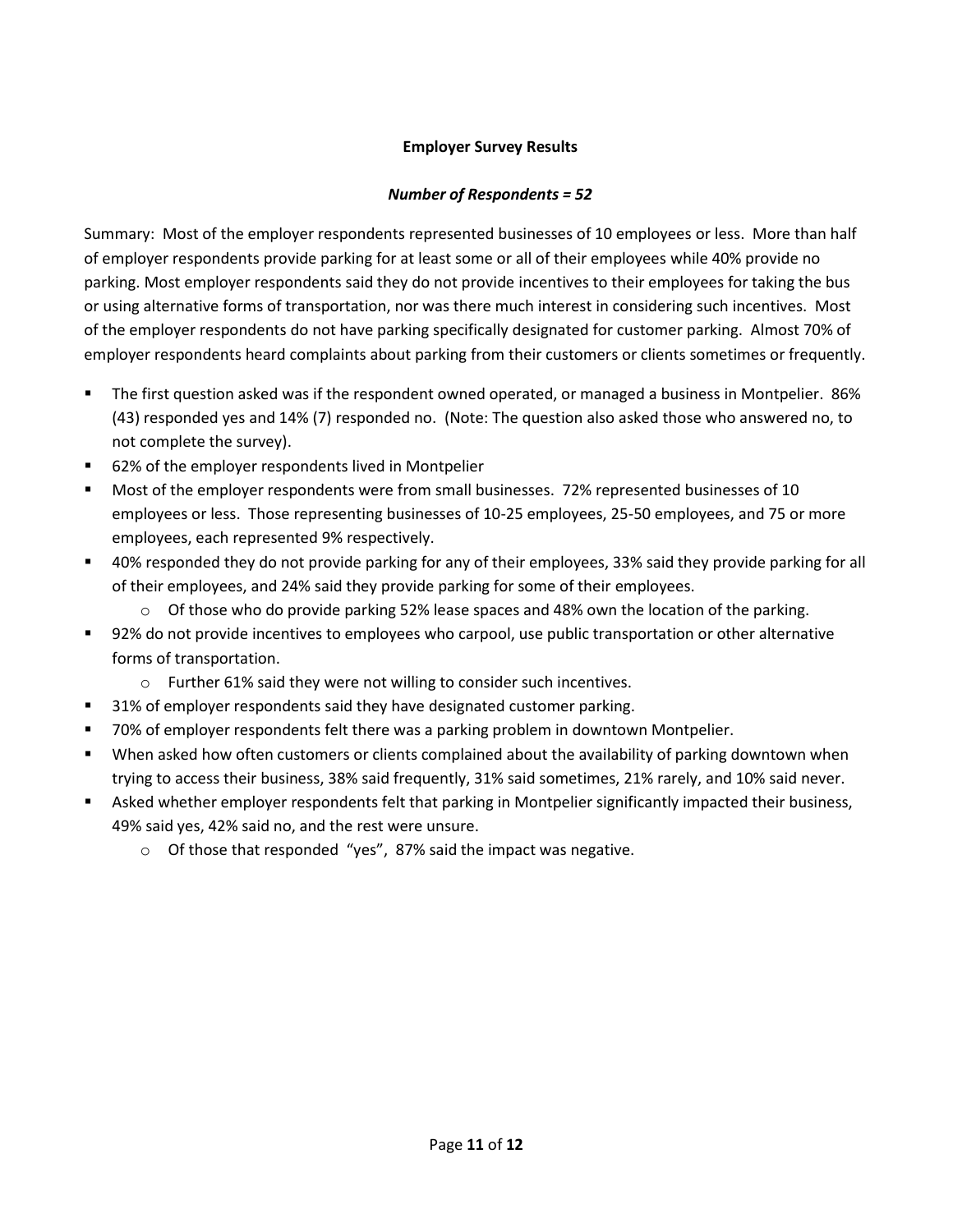## **Employer Survey Results**

## *Number of Respondents = 52*

Summary: Most of the employer respondents represented businesses of 10 employees or less. More than half of employer respondents provide parking for at least some or all of their employees while 40% provide no parking. Most employer respondents said they do not provide incentives to their employees for taking the bus or using alternative forms of transportation, nor was there much interest in considering such incentives. Most of the employer respondents do not have parking specifically designated for customer parking. Almost 70% of employer respondents heard complaints about parking from their customers or clients sometimes or frequently.

- The first question asked was if the respondent owned operated, or managed a business in Montpelier. 86% (43) responded yes and 14% (7) responded no. (Note: The question also asked those who answered no, to not complete the survey).
- 62% of the employer respondents lived in Montpelier
- Most of the employer respondents were from small businesses. 72% represented businesses of 10 employees or less. Those representing businesses of 10-25 employees, 25-50 employees, and 75 or more employees, each represented 9% respectively.
- 40% responded they do not provide parking for any of their employees, 33% said they provide parking for all of their employees, and 24% said they provide parking for some of their employees.
	- $\circ$  Of those who do provide parking 52% lease spaces and 48% own the location of the parking.
- 92% do not provide incentives to employees who carpool, use public transportation or other alternative forms of transportation.
	- o Further 61% said they were not willing to consider such incentives.
- **31% of employer respondents said they have designated customer parking.**
- **The F** 70% of employer respondents felt there was a parking problem in downtown Montpelier.
- When asked how often customers or clients complained about the availability of parking downtown when trying to access their business, 38% said frequently, 31% said sometimes, 21% rarely, and 10% said never.
- Asked whether employer respondents felt that parking in Montpelier significantly impacted their business, 49% said yes, 42% said no, and the rest were unsure.
	- o Of those that responded "yes", 87% said the impact was negative.